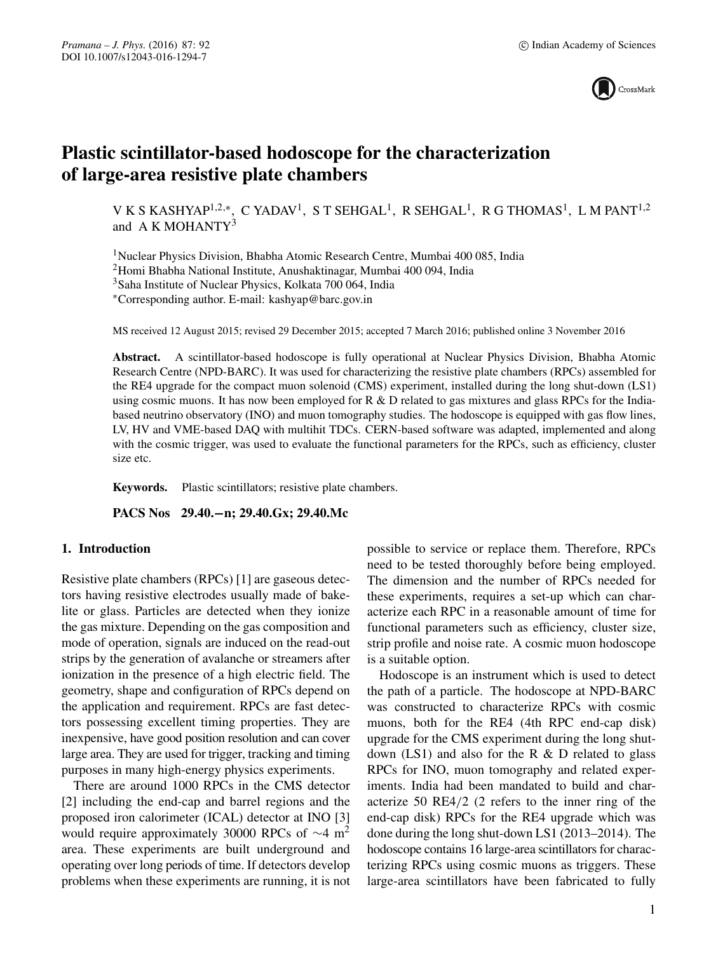

# **Plastic scintillator-based hodoscope for the characterization of large-area resistive plate chambers**

V K S KASHYAP<sup>1,2,\*</sup>, C YADAV<sup>1</sup>, S T SEHGAL<sup>1</sup>, R SEHGAL<sup>1</sup>, R G THOMAS<sup>1</sup>, L M PANT<sup>1,2</sup> and A K MOHANTY<sup>3</sup>

1Nuclear Physics Division, Bhabha Atomic Research Centre, Mumbai 400 085, India

2Homi Bhabha National Institute, Anushaktinagar, Mumbai 400 094, India

3Saha Institute of Nuclear Physics, Kolkata 700 064, India

∗Corresponding author. E-mail: kashyap@barc.gov.in

MS received 12 August 2015; revised 29 December 2015; accepted 7 March 2016; published online 3 November 2016

**Abstract.** A scintillator-based hodoscope is fully operational at Nuclear Physics Division, Bhabha Atomic Research Centre (NPD-BARC). It was used for characterizing the resistive plate chambers (RPCs) assembled for the RE4 upgrade for the compact muon solenoid (CMS) experiment, installed during the long shut-down (LS1) using cosmic muons. It has now been employed for R & D related to gas mixtures and glass RPCs for the Indiabased neutrino observatory (INO) and muon tomography studies. The hodoscope is equipped with gas flow lines, LV, HV and VME-based DAQ with multihit TDCs. CERN-based software was adapted, implemented and along with the cosmic trigger, was used to evaluate the functional parameters for the RPCs, such as efficiency, cluster size etc.

**Keywords.** Plastic scintillators; resistive plate chambers.

**PACS Nos 29.40.−n; 29.40.Gx; 29.40.Mc**

# **1. Introduction**

Resistive plate chambers (RPCs) [1] are gaseous detectors having resistive electrodes usually made of bakelite or glass. Particles are detected when they ionize the gas mixture. Depending on the gas composition and mode of operation, signals are induced on the read-out strips by the generation of avalanche or streamers after ionization in the presence of a high electric field. The geometry, shape and configuration of RPCs depend on the application and requirement. RPCs are fast detectors possessing excellent timing properties. They are inexpensive, have good position resolution and can cover large area. They are used for trigger, tracking and timing purposes in many high-energy physics experiments.

There are around 1000 RPCs in the CMS detector [2] including the end-cap and barrel regions and the proposed iron calorimeter (ICAL) detector at INO [3] would require approximately 30000 RPCs of  $\sim$ 4 m<sup>2</sup> area. These experiments are built underground and operating over long periods of time. If detectors develop problems when these experiments are running, it is not possible to service or replace them. Therefore, RPCs need to be tested thoroughly before being employed. The dimension and the number of RPCs needed for these experiments, requires a set-up which can characterize each RPC in a reasonable amount of time for functional parameters such as efficiency, cluster size, strip profile and noise rate. A cosmic muon hodoscope is a suitable option.

Hodoscope is an instrument which is used to detect the path of a particle. The hodoscope at NPD-BARC was constructed to characterize RPCs with cosmic muons, both for the RE4 (4th RPC end-cap disk) upgrade for the CMS experiment during the long shutdown  $(LS1)$  and also for the R  $&$  D related to glass RPCs for INO, muon tomography and related experiments. India had been mandated to build and characterize 50 RE4/2 (2 refers to the inner ring of the end-cap disk) RPCs for the RE4 upgrade which was done during the long shut-down LS1 (2013–2014). The hodoscope contains 16 large-area scintillators for characterizing RPCs using cosmic muons as triggers. These large-area scintillators have been fabricated to fully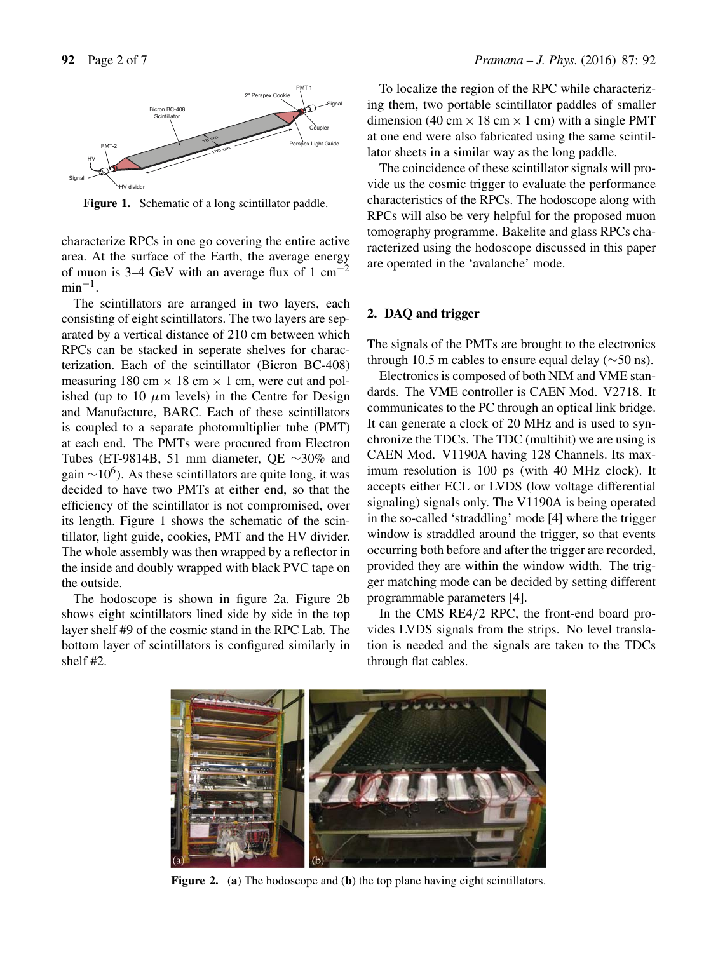

Figure 1. Schematic of a long scintillator paddle.

characterize RPCs in one go covering the entire active area. At the surface of the Earth, the average energy of muon is 3–4 GeV with an average flux of 1 cm<sup>-2</sup>  $min^{-1}$ .

The scintillators are arranged in two layers, each consisting of eight scintillators. The two layers are separated by a vertical distance of 210 cm between which RPCs can be stacked in seperate shelves for characterization. Each of the scintillator (Bicron BC-408) measuring 180 cm  $\times$  18 cm  $\times$  1 cm, were cut and polished (up to 10  $\mu$ m levels) in the Centre for Design and Manufacture, BARC. Each of these scintillators is coupled to a separate photomultiplier tube (PMT) at each end. The PMTs were procured from Electron Tubes (ET-9814B, 51 mm diameter, QE ∼30% and gain  $\sim$ 10<sup>6</sup>). As these scintillators are quite long, it was decided to have two PMTs at either end, so that the efficiency of the scintillator is not compromised, over its length. Figure 1 shows the schematic of the scintillator, light guide, cookies, PMT and the HV divider. The whole assembly was then wrapped by a reflector in the inside and doubly wrapped with black PVC tape on the outside.

The hodoscope is shown in figure 2a. Figure 2b shows eight scintillators lined side by side in the top layer shelf #9 of the cosmic stand in the RPC Lab. The bottom layer of scintillators is configured similarly in shelf #2.

To localize the region of the RPC while characterizing them, two portable scintillator paddles of smaller dimension (40 cm  $\times$  18 cm  $\times$  1 cm) with a single PMT at one end were also fabricated using the same scintillator sheets in a similar way as the long paddle.

The coincidence of these scintillator signals will provide us the cosmic trigger to evaluate the performance characteristics of the RPCs. The hodoscope along with RPCs will also be very helpful for the proposed muon tomography programme. Bakelite and glass RPCs characterized using the hodoscope discussed in this paper are operated in the 'avalanche' mode.

## **2. DAQ and trigger**

The signals of the PMTs are brought to the electronics through 10.5 m cables to ensure equal delay ( $\sim$ 50 ns).

Electronics is composed of both NIM and VME standards. The VME controller is CAEN Mod. V2718. It communicates to the PC through an optical link bridge. It can generate a clock of 20 MHz and is used to synchronize the TDCs. The TDC (multihit) we are using is CAEN Mod. V1190A having 128 Channels. Its maximum resolution is 100 ps (with 40 MHz clock). It accepts either ECL or LVDS (low voltage differential signaling) signals only. The V1190A is being operated in the so-called 'straddling' mode [4] where the trigger window is straddled around the trigger, so that events occurring both before and after the trigger are recorded, provided they are within the window width. The trigger matching mode can be decided by setting different programmable parameters [4].

In the CMS RE4/2 RPC, the front-end board provides LVDS signals from the strips. No level translation is needed and the signals are taken to the TDCs through flat cables.



**Figure 2.** (**a**) The hodoscope and (**b**) the top plane having eight scintillators.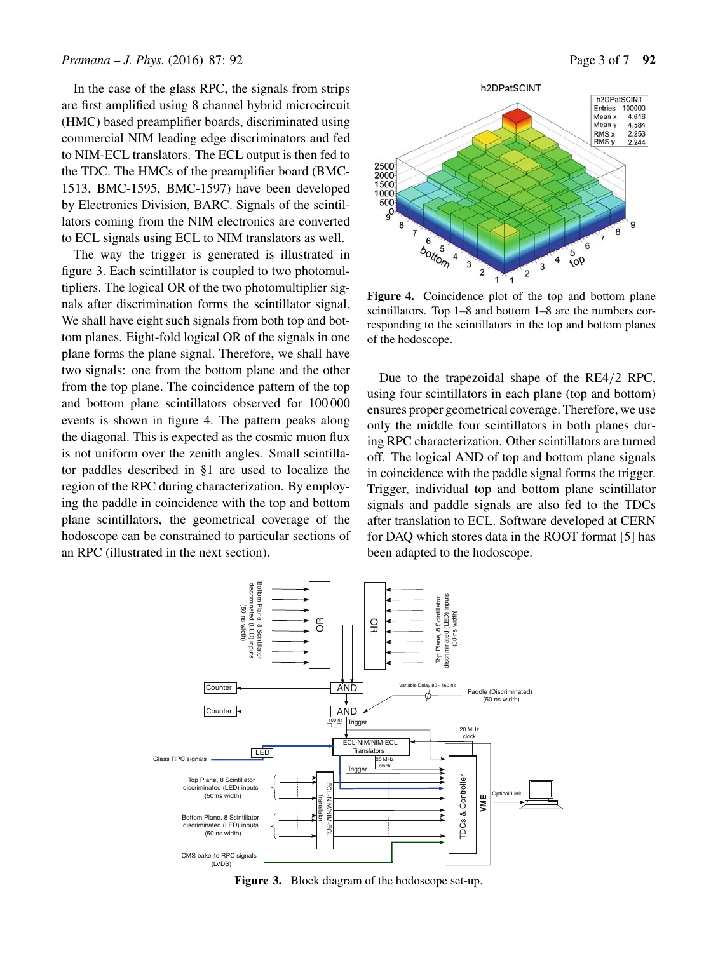In the case of the glass RPC, the signals from strips are first amplified using 8 channel hybrid microcircuit (HMC) based preamplifier boards, discriminated using commercial NIM leading edge discriminators and fed to NIM-ECL translators. The ECL output is then fed to the TDC. The HMCs of the preamplifier board (BMC-1513, BMC-1595, BMC-1597) have been developed by Electronics Division, BARC. Signals of the scintillators coming from the NIM electronics are converted to ECL signals using ECL to NIM translators as well.

The way the trigger is generated is illustrated in figure 3. Each scintillator is coupled to two photomultipliers. The logical OR of the two photomultiplier signals after discrimination forms the scintillator signal. We shall have eight such signals from both top and bottom planes. Eight-fold logical OR of the signals in one plane forms the plane signal. Therefore, we shall have two signals: one from the bottom plane and the other from the top plane. The coincidence pattern of the top and bottom plane scintillators observed for 100 000 events is shown in figure 4. The pattern peaks along the diagonal. This is expected as the cosmic muon flux is not uniform over the zenith angles. Small scintillator paddles described in §1 are used to localize the region of the RPC during characterization. By employing the paddle in coincidence with the top and bottom plane scintillators, the geometrical coverage of the hodoscope can be constrained to particular sections of an RPC (illustrated in the next section).



**Figure 4.** Coincidence plot of the top and bottom plane scintillators. Top 1–8 and bottom 1–8 are the numbers corresponding to the scintillators in the top and bottom planes of the hodoscope.

Due to the trapezoidal shape of the RE4/2 RPC, using four scintillators in each plane (top and bottom) ensures proper geometrical coverage. Therefore, we use only the middle four scintillators in both planes during RPC characterization. Other scintillators are turned off. The logical AND of top and bottom plane signals in coincidence with the paddle signal forms the trigger. Trigger, individual top and bottom plane scintillator signals and paddle signals are also fed to the TDCs after translation to ECL. Software developed at CERN for DAQ which stores data in the ROOT format [5] has been adapted to the hodoscope.



**Figure 3.** Block diagram of the hodoscope set-up.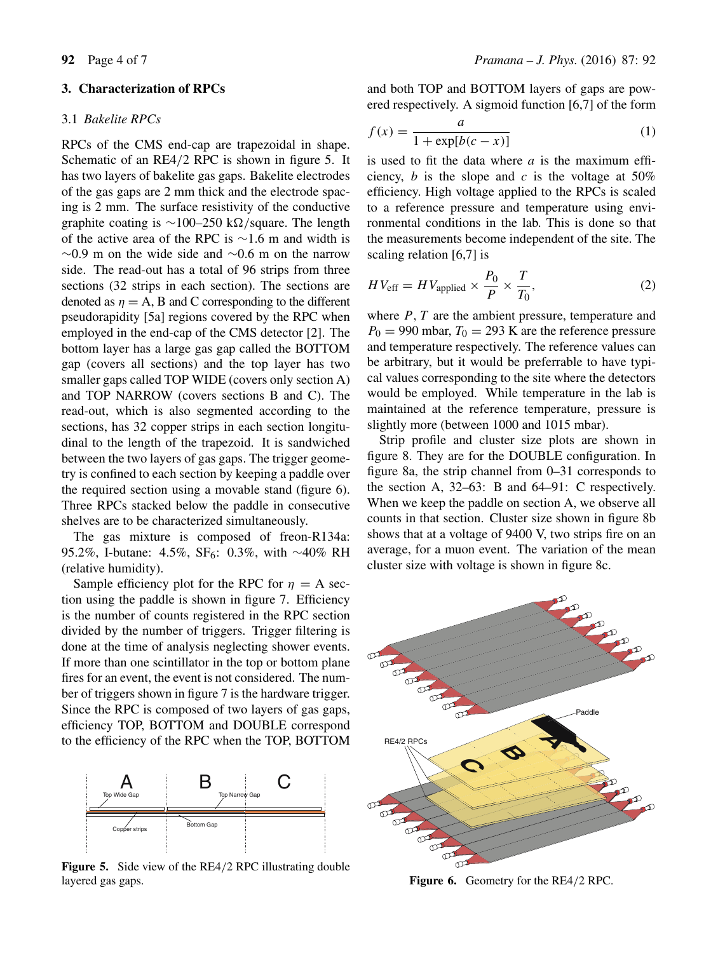### **3. Characterization of RPCs**

### 3.1 *Bakelite RPCs*

RPCs of the CMS end-cap are trapezoidal in shape. Schematic of an RE4/2 RPC is shown in figure 5. It has two layers of bakelite gas gaps. Bakelite electrodes of the gas gaps are 2 mm thick and the electrode spacing is 2 mm. The surface resistivity of the conductive graphite coating is  $\sim$ 100–250 k $\Omega$ /square. The length of the active area of the RPC is ∼1.6 m and width is  $∼0.9$  m on the wide side and  $∼0.6$  m on the narrow side. The read-out has a total of 96 strips from three sections (32 strips in each section). The sections are denoted as  $\eta = A$ , B and C corresponding to the different pseudorapidity [5a] regions covered by the RPC when employed in the end-cap of the CMS detector [2]. The bottom layer has a large gas gap called the BOTTOM gap (covers all sections) and the top layer has two smaller gaps called TOP WIDE (covers only section A) and TOP NARROW (covers sections B and C). The read-out, which is also segmented according to the sections, has 32 copper strips in each section longitudinal to the length of the trapezoid. It is sandwiched between the two layers of gas gaps. The trigger geometry is confined to each section by keeping a paddle over the required section using a movable stand (figure 6). Three RPCs stacked below the paddle in consecutive shelves are to be characterized simultaneously.

The gas mixture is composed of freon-R134a: 95.2%, I-butane: 4.5%, SF<sub>6</sub>: 0.3%, with ∼40% RH (relative humidity).

Sample efficiency plot for the RPC for  $\eta = A$  section using the paddle is shown in figure 7. Efficiency is the number of counts registered in the RPC section divided by the number of triggers. Trigger filtering is done at the time of analysis neglecting shower events. If more than one scintillator in the top or bottom plane fires for an event, the event is not considered. The number of triggers shown in figure 7 is the hardware trigger. Since the RPC is composed of two layers of gas gaps, efficiency TOP, BOTTOM and DOUBLE correspond to the efficiency of the RPC when the TOP, BOTTOM



**Figure 5.** Side view of the RE4/2 RPC illustrating double layered gas gaps.

and both TOP and BOTTOM layers of gaps are powered respectively. A sigmoid function [6,7] of the form

$$
f(x) = \frac{a}{1 + \exp[b(c - x)]}
$$
 (1)

is used to fit the data where  $a$  is the maximum efficiency,  $b$  is the slope and  $c$  is the voltage at 50% efficiency. High voltage applied to the RPCs is scaled to a reference pressure and temperature using environmental conditions in the lab. This is done so that the measurements become independent of the site. The scaling relation [6,7] is

$$
HV_{\text{eff}} = HV_{\text{applied}} \times \frac{P_0}{P} \times \frac{T}{T_0},\tag{2}
$$

where  $P, T$  are the ambient pressure, temperature and  $P_0 = 990$  mbar,  $T_0 = 293$  K are the reference pressure and temperature respectively. The reference values can be arbitrary, but it would be preferrable to have typical values corresponding to the site where the detectors would be employed. While temperature in the lab is maintained at the reference temperature, pressure is slightly more (between 1000 and 1015 mbar).

Strip profile and cluster size plots are shown in figure 8. They are for the DOUBLE configuration. In figure 8a, the strip channel from 0–31 corresponds to the section A, 32–63: B and 64–91: C respectively. When we keep the paddle on section A, we observe all counts in that section. Cluster size shown in figure 8b shows that at a voltage of 9400 V, two strips fire on an average, for a muon event. The variation of the mean cluster size with voltage is shown in figure 8c.



**Figure 6.** Geometry for the RE4/2 RPC.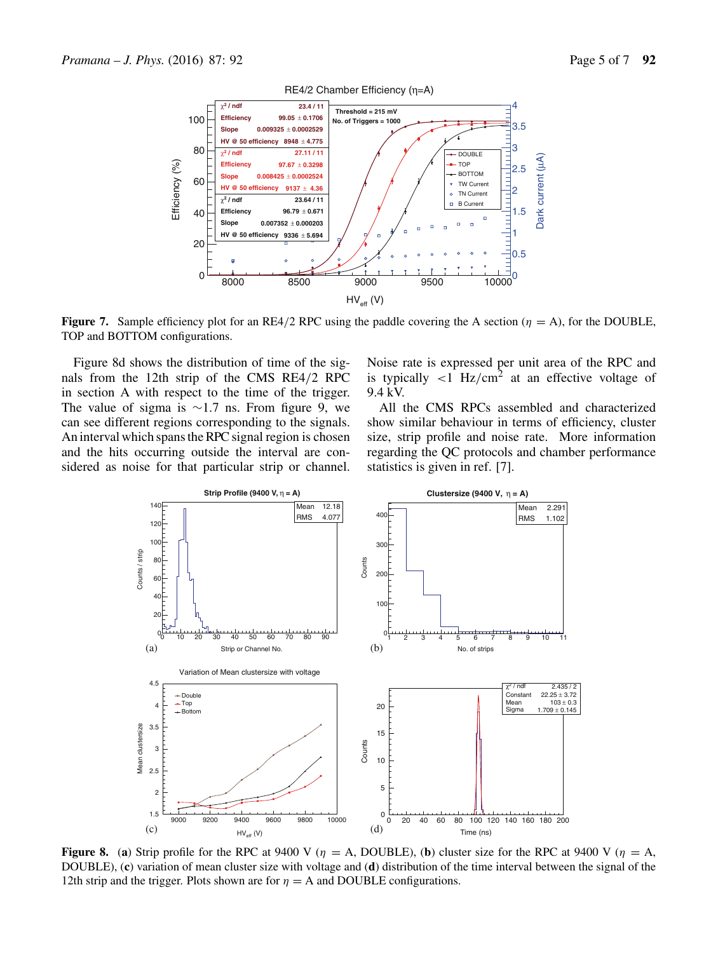

**Figure 7.** Sample efficiency plot for an RE4/2 RPC using the paddle covering the A section ( $\eta = A$ ), for the DOUBLE, TOP and BOTTOM configurations.

Figure 8d shows the distribution of time of the signals from the 12th strip of the CMS RE4/2 RPC in section A with respect to the time of the trigger. The value of sigma is  $\sim$ 1.7 ns. From figure 9, we can see different regions corresponding to the signals. An interval which spans the RPC signal region is chosen and the hits occurring outside the interval are considered as noise for that particular strip or channel. Noise rate is expressed per unit area of the RPC and is typically  $\langle 1 \rangle$  Hz/cm<sup>2</sup> at an effective voltage of 9.4 kV.

All the CMS RPCs assembled and characterized show similar behaviour in terms of efficiency, cluster size, strip profile and noise rate. More information regarding the QC protocols and chamber performance statistics is given in ref. [7].



**Figure 8.** (a) Strip profile for the RPC at 9400 V ( $\eta = A$ , DOUBLE), (b) cluster size for the RPC at 9400 V ( $\eta = A$ , DOUBLE), (**c**) variation of mean cluster size with voltage and (**d**) distribution of the time interval between the signal of the 12th strip and the trigger. Plots shown are for  $\eta = A$  and DOUBLE configurations.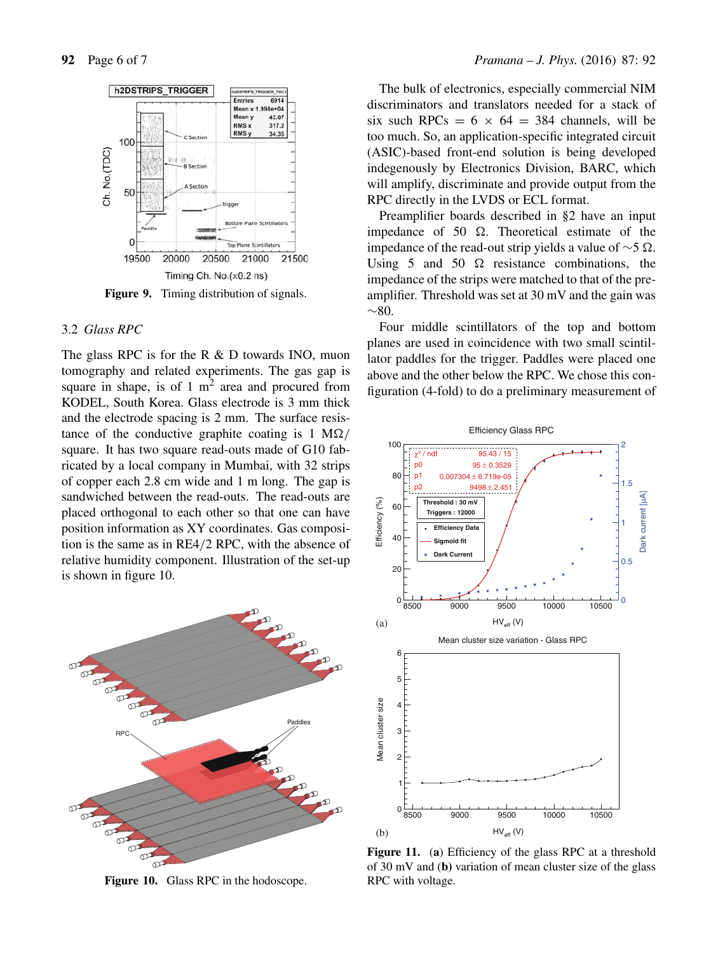

**Figure 9.** Timing distribution of signals.

#### 3.2 *Glass RPC*

The glass RPC is for the R & D towards INO, muon tomography and related experiments. The gas gap is square in shape, is of  $1 \text{ m}^2$  area and procured from KODEL, South Korea. Glass electrode is 3 mm thick and the electrode spacing is 2 mm. The surface resistance of the conductive graphite coating is  $1 \text{ M}\Omega/$ square. It has two square read-outs made of G10 fabricated by a local company in Mumbai, with 32 strips of copper each 2.8 cm wide and 1 m long. The gap is sandwiched between the read-outs. The read-outs are placed orthogonal to each other so that one can have position information as XY coordinates. Gas composition is the same as in RE4/2 RPC, with the absence of relative humidity component. Illustration of the set-up is shown in figure 10.



**Figure 10.** Glass RPC in the hodoscope.

The bulk of electronics, especially commercial NIM discriminators and translators needed for a stack of six such RPCs =  $6 \times 64 = 384$  channels, will be too much. So, an application-specific integrated circuit (ASIC)-based front-end solution is being developed indegenously by Electronics Division, BARC, which will amplify, discriminate and provide output from the RPC directly in the LVDS or ECL format.

Preamplifier boards described in §2 have an input impedance of 50  $\Omega$ . Theoretical estimate of the impedance of the read-out strip yields a value of  $\sim$ 5 Ω. Using 5 and 50  $\Omega$  resistance combinations, the impedance of the strips were matched to that of the preamplifier. Threshold was set at 30 mV and the gain was  $~\sim 80.$ 

Four middle scintillators of the top and bottom planes are used in coincidence with two small scintillator paddles for the trigger. Paddles were placed one above and the other below the RPC. We chose this configuration (4-fold) to do a preliminary measurement of



**Figure 11.** (**a**) Efficiency of the glass RPC at a threshold of 30 mV and (**b)** variation of mean cluster size of the glass RPC with voltage.